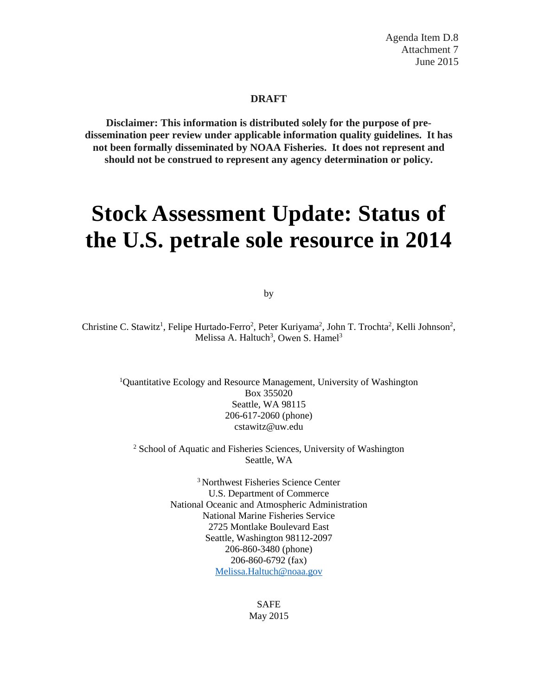Agenda Item D.8 Attachment 7 June 2015

#### **DRAFT**

**Disclaimer: This information is distributed solely for the purpose of predissemination peer review under applicable information quality guidelines. It has not been formally disseminated by NOAA Fisheries. It does not represent and should not be construed to represent any agency determination or policy.**

# **Stock Assessment Update: Status of the U.S. petrale sole resource in 2014**

by

Christine C. Stawitz<sup>1</sup>, Felipe Hurtado-Ferro<sup>2</sup>, Peter Kuriyama<sup>2</sup>, John T. Trochta<sup>2</sup>, Kelli Johnson<sup>2</sup>, Melissa A. Haltuch<sup>3</sup>, Owen S. Hamel<sup>3</sup>

<sup>1</sup>Quantitative Ecology and Resource Management, University of Washington Box 355020 Seattle, WA 98115 206-617-2060 (phone) cstawitz@uw.edu

<sup>2</sup> School of Aquatic and Fisheries Sciences, University of Washington Seattle, WA

> 3 Northwest Fisheries Science Center U.S. Department of Commerce National Oceanic and Atmospheric Administration National Marine Fisheries Service 2725 Montlake Boulevard East Seattle, Washington 98112-2097 206-860-3480 (phone) 206-860-6792 (fax) [Melissa.Haltuch@noaa.gov](mailto:Melissa.Haltuch@noaa.gov)

> > SAFE May 2015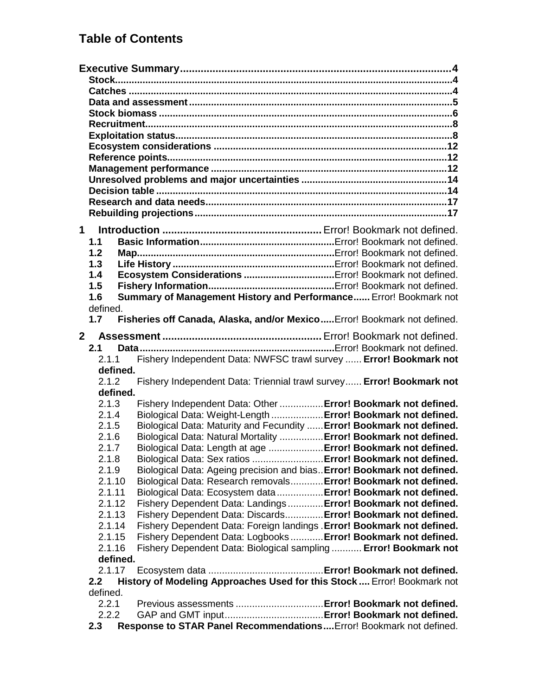# **Table of Contents**

| 1.1            |                                                                                                                                |
|----------------|--------------------------------------------------------------------------------------------------------------------------------|
| 1.2            |                                                                                                                                |
| 1.3            |                                                                                                                                |
| 1.4            |                                                                                                                                |
| 1.5            |                                                                                                                                |
| 1.6            | Summary of Management History and Performance Error! Bookmark not                                                              |
| defined.       |                                                                                                                                |
| 1.7            | Fisheries off Canada, Alaska, and/or Mexico Error! Bookmark not defined.                                                       |
| 2 <sup>7</sup> |                                                                                                                                |
| 2.1            |                                                                                                                                |
| 2.1.1          | Fishery Independent Data: NWFSC trawl survey  Error! Bookmark not                                                              |
| defined.       |                                                                                                                                |
| 2.1.2          | Fishery Independent Data: Triennial trawl survey Error! Bookmark not                                                           |
| defined.       |                                                                                                                                |
| 2.1.3          | Fishery Independent Data: Other  Error! Bookmark not defined.                                                                  |
| 2.1.4          | Biological Data: Weight-Length  Error! Bookmark not defined.                                                                   |
| 2.1.5          | Biological Data: Maturity and Fecundity  Error! Bookmark not defined.                                                          |
| 2.1.6          | Biological Data: Natural Mortality  Error! Bookmark not defined.                                                               |
| 2.1.7          | Biological Data: Length at age  Error! Bookmark not defined.                                                                   |
| 2.1.8          | Biological Data: Sex ratios  Error! Bookmark not defined.                                                                      |
| 2.1.9          | Biological Data: Ageing precision and bias Error! Bookmark not defined.                                                        |
| 2.1.10         | Biological Data: Research removals Error! Bookmark not defined.                                                                |
| 2.1.11         |                                                                                                                                |
| 2.1.12         | Biological Data: Ecosystem data  Error! Bookmark not defined.                                                                  |
|                | Fishery Dependent Data: Landings Error! Bookmark not defined.<br>Fishery Dependent Data: Discards Error! Bookmark not defined. |
| 2.1.13         |                                                                                                                                |
| 2.1.14         | Fishery Dependent Data: Foreign landings . Error! Bookmark not defined.                                                        |
| 2.1.15         | Fishery Dependent Data: Logbooks Error! Bookmark not defined.                                                                  |
| 2.1.16         | Fishery Dependent Data: Biological sampling  Error! Bookmark not                                                               |
| defined.       |                                                                                                                                |
| 2.1.17         |                                                                                                                                |
| 2.2            | History of Modeling Approaches Used for this Stock  Error! Bookmark not                                                        |
| defined.       |                                                                                                                                |
| 2.2.1          |                                                                                                                                |
|                |                                                                                                                                |
| 2.2.2<br>2.3   | Response to STAR Panel Recommendations Error! Bookmark not defined.                                                            |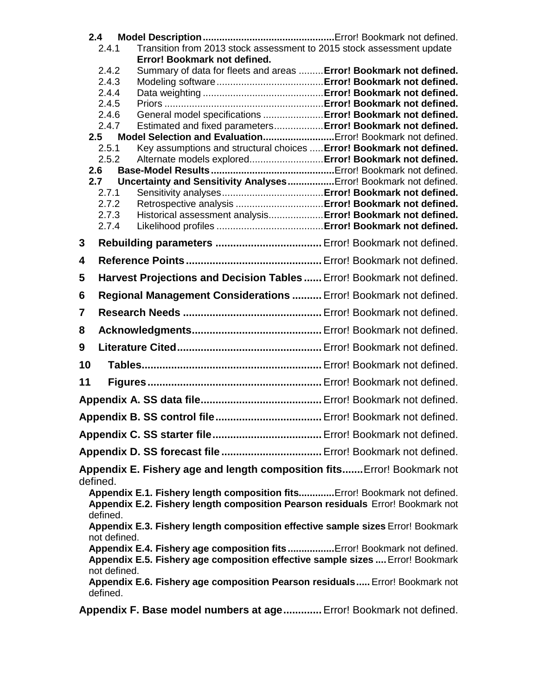| 2.4            |                                                                                                                                     |  |
|----------------|-------------------------------------------------------------------------------------------------------------------------------------|--|
| 2.4.1          | Transition from 2013 stock assessment to 2015 stock assessment update                                                               |  |
| 2.4.2          | Error! Bookmark not defined.<br>Summary of data for fleets and areas  Error! Bookmark not defined.                                  |  |
| 2.4.3          |                                                                                                                                     |  |
| 2.4.4          |                                                                                                                                     |  |
| 2.4.5          |                                                                                                                                     |  |
| 2.4.6          | General model specifications  Error! Bookmark not defined.                                                                          |  |
| 2.4.7          | Estimated and fixed parameters Error! Bookmark not defined.                                                                         |  |
| 2.5<br>2.5.1   | Model Selection and Evaluation Error! Bookmark not defined.<br>Key assumptions and structural choices  Error! Bookmark not defined. |  |
| 2.5.2          | Alternate models explored Error! Bookmark not defined.                                                                              |  |
| 2.6            |                                                                                                                                     |  |
| 2.7            | Uncertainty and Sensitivity Analyses Error! Bookmark not defined.                                                                   |  |
| 2.7.1          |                                                                                                                                     |  |
| 2.7.2          |                                                                                                                                     |  |
| 2.7.3<br>2.7.4 | Historical assessment analysis Error! Bookmark not defined.                                                                         |  |
| 3              |                                                                                                                                     |  |
|                |                                                                                                                                     |  |
| 4              |                                                                                                                                     |  |
| 5              | Harvest Projections and Decision Tables  Error! Bookmark not defined.                                                               |  |
| 6              | Regional Management Considerations  Error! Bookmark not defined.                                                                    |  |
| 7              |                                                                                                                                     |  |
| 8              |                                                                                                                                     |  |
| 9              |                                                                                                                                     |  |
| 10             |                                                                                                                                     |  |
| 11             |                                                                                                                                     |  |
|                |                                                                                                                                     |  |
|                |                                                                                                                                     |  |
|                |                                                                                                                                     |  |
|                |                                                                                                                                     |  |
|                | Appendix E. Fishery age and length composition fits Error! Bookmark not                                                             |  |
| defined.       | Appendix E.1. Fishery length composition fits Error! Bookmark not defined.                                                          |  |
|                | Appendix E.2. Fishery length composition Pearson residuals Error! Bookmark not                                                      |  |
| defined.       | Appendix E.3. Fishery length composition effective sample sizes Error! Bookmark                                                     |  |
| not defined.   |                                                                                                                                     |  |
|                | Appendix E.4. Fishery age composition fitsError! Bookmark not defined.                                                              |  |
| not defined.   | Appendix E.5. Fishery age composition effective sample sizes  Error! Bookmark                                                       |  |
| defined.       | Appendix E.6. Fishery age composition Pearson residuals Error! Bookmark not                                                         |  |
|                |                                                                                                                                     |  |

**Appendix F. Base model numbers at age.............**Error! Bookmark not defined.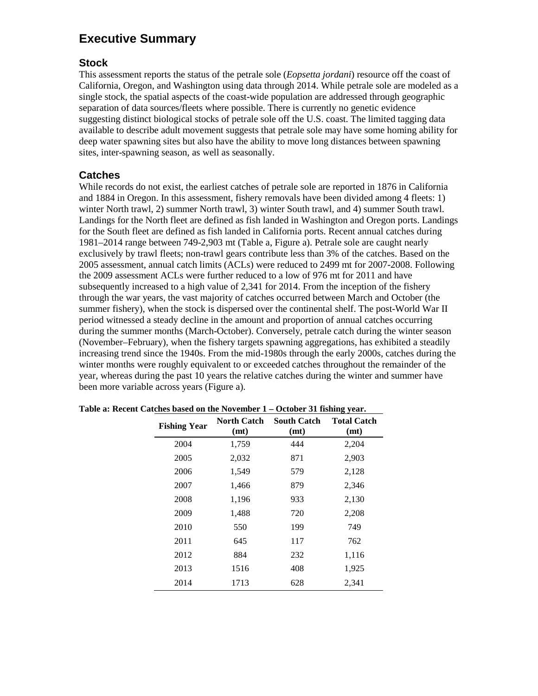# <span id="page-4-0"></span>**Executive Summary**

# <span id="page-4-1"></span>**Stock**

This assessment reports the status of the petrale sole (*Eopsetta jordani*) resource off the coast of California, Oregon, and Washington using data through 2014. While petrale sole are modeled as a single stock, the spatial aspects of the coast-wide population are addressed through geographic separation of data sources/fleets where possible. There is currently no genetic evidence suggesting distinct biological stocks of petrale sole off the U.S. coast. The limited tagging data available to describe adult movement suggests that petrale sole may have some homing ability for deep water spawning sites but also have the ability to move long distances between spawning sites, inter-spawning season, as well as seasonally.

# <span id="page-4-2"></span>**Catches**

While records do not exist, the earliest catches of petrale sole are reported in 1876 in California and 1884 in Oregon. In this assessment, fishery removals have been divided among 4 fleets: 1) winter North trawl, 2) summer North trawl, 3) winter South trawl, and 4) summer South trawl. Landings for the North fleet are defined as fish landed in Washington and Oregon ports. Landings for the South fleet are defined as fish landed in California ports. Recent annual catches during 1981–2014 range between 749-2,903 mt (Table a, Figure a). Petrale sole are caught nearly exclusively by trawl fleets; non-trawl gears contribute less than 3% of the catches. Based on the 2005 assessment, annual catch limits (ACLs) were reduced to 2499 mt for 2007-2008. Following the 2009 assessment ACLs were further reduced to a low of 976 mt for 2011 and have subsequently increased to a high value of 2,341 for 2014. From the inception of the fishery through the war years, the vast majority of catches occurred between March and October (the summer fishery), when the stock is dispersed over the continental shelf. The post-World War II period witnessed a steady decline in the amount and proportion of annual catches occurring during the summer months (March-October). Conversely, petrale catch during the winter season (November–February), when the fishery targets spawning aggregations, has exhibited a steadily increasing trend since the 1940s. From the mid-1980s through the early 2000s, catches during the winter months were roughly equivalent to or exceeded catches throughout the remainder of the year, whereas during the past 10 years the relative catches during the winter and summer have been more variable across years (Figure a).

| <b>Fishing Year</b> | <b>North Catch</b><br>(mt) | <b>South Catch</b><br>(mt) | <b>Total Catch</b><br>(mt) |
|---------------------|----------------------------|----------------------------|----------------------------|
| 2004                | 1,759                      | 444                        | 2,204                      |
| 2005                | 2,032                      | 871                        | 2,903                      |
| 2006                | 1,549                      | 579                        | 2,128                      |
| 2007                | 1,466                      | 879                        | 2,346                      |
| 2008                | 1,196                      | 933                        | 2,130                      |
| 2009                | 1,488                      | 720                        | 2,208                      |
| 2010                | 550                        | 199                        | 749                        |
| 2011                | 645                        | 117                        | 762                        |
| 2012                | 884                        | 232                        | 1,116                      |
| 2013                | 1516                       | 408                        | 1,925                      |
| 2014                | 1713                       | 628                        | 2.341                      |

**Table a: Recent Catches based on the November 1 – October 31 fishing year.**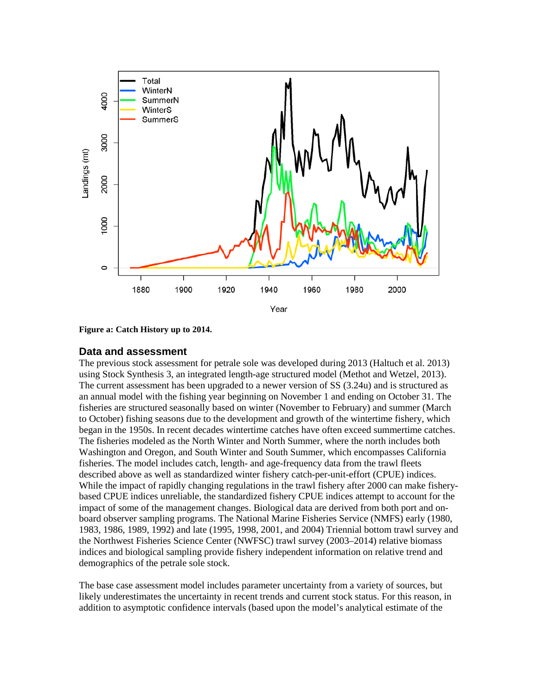

**Figure a: Catch History up to 2014.**

#### <span id="page-5-0"></span>**Data and assessment**

The previous stock assessment for petrale sole was developed during 2013 (Haltuch et al. 2013) using Stock Synthesis 3, an integrated length-age structured model (Methot and Wetzel, 2013). The current assessment has been upgraded to a newer version of SS (3.24u) and is structured as an annual model with the fishing year beginning on November 1 and ending on October 31. The fisheries are structured seasonally based on winter (November to February) and summer (March to October) fishing seasons due to the development and growth of the wintertime fishery, which began in the 1950s. In recent decades wintertime catches have often exceed summertime catches. The fisheries modeled as the North Winter and North Summer, where the north includes both Washington and Oregon, and South Winter and South Summer, which encompasses California fisheries. The model includes catch, length- and age-frequency data from the trawl fleets described above as well as standardized winter fishery catch-per-unit-effort (CPUE) indices. While the impact of rapidly changing regulations in the trawl fishery after 2000 can make fisherybased CPUE indices unreliable, the standardized fishery CPUE indices attempt to account for the impact of some of the management changes. Biological data are derived from both port and onboard observer sampling programs. The National Marine Fisheries Service (NMFS) early (1980, 1983, 1986, 1989, 1992) and late (1995, 1998, 2001, and 2004) Triennial bottom trawl survey and the Northwest Fisheries Science Center (NWFSC) trawl survey (2003–2014) relative biomass indices and biological sampling provide fishery independent information on relative trend and demographics of the petrale sole stock.

The base case assessment model includes parameter uncertainty from a variety of sources, but likely underestimates the uncertainty in recent trends and current stock status. For this reason, in addition to asymptotic confidence intervals (based upon the model's analytical estimate of the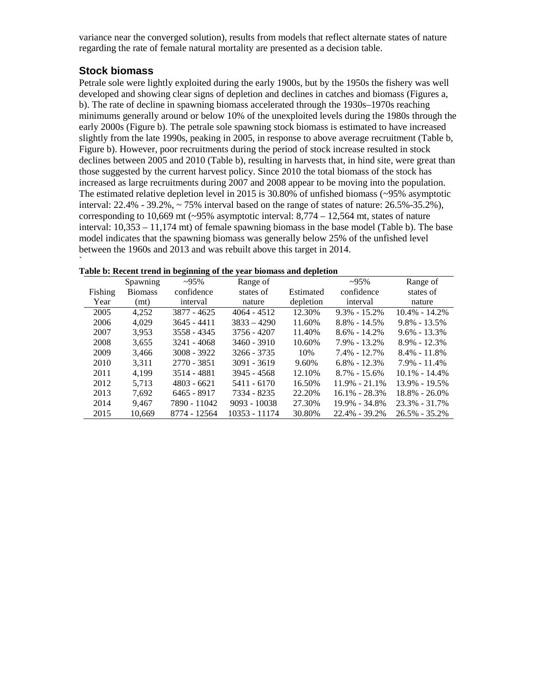variance near the converged solution), results from models that reflect alternate states of nature regarding the rate of female natural mortality are presented as a decision table.

# <span id="page-6-0"></span>**Stock biomass**

`

Petrale sole were lightly exploited during the early 1900s, but by the 1950s the fishery was well developed and showing clear signs of depletion and declines in catches and biomass (Figures a, b). The rate of decline in spawning biomass accelerated through the 1930s–1970s reaching minimums generally around or below 10% of the unexploited levels during the 1980s through the early 2000s (Figure b). The petrale sole spawning stock biomass is estimated to have increased slightly from the late 1990s, peaking in 2005, in response to above average recruitment (Table b, Figure b). However, poor recruitments during the period of stock increase resulted in stock declines between 2005 and 2010 (Table b), resulting in harvests that, in hind site, were great than those suggested by the current harvest policy. Since 2010 the total biomass of the stock has increased as large recruitments during 2007 and 2008 appear to be moving into the population. The estimated relative depletion level in 2015 is 30.80% of unfished biomass (~95% asymptotic interval:  $22.4\%$  -  $39.2\%$ ,  $\sim$  75% interval based on the range of states of nature:  $26.5\%$ -35.2%), corresponding to 10,669 mt  $\left(\sim 95\% \text{ asymptotic interval: } 8,774 - 12,564 \text{ mt, states of nature} \right)$ interval: 10,353 – 11,174 mt) of female spawning biomass in the base model (Table b). The base model indicates that the spawning biomass was generally below 25% of the unfished level between the 1960s and 2013 and was rebuilt above this target in 2014.

|         | Spawning       | $-95\%$       | Range of       |           | $-95\%$           | Range of          |
|---------|----------------|---------------|----------------|-----------|-------------------|-------------------|
| Fishing | <b>Biomass</b> | confidence    | states of      | Estimated | confidence        | states of         |
| Year    | (mt)           | interval      | nature         | depletion | interval          | nature            |
| 2005    | 4.252          | 3877 - 4625   | $4064 - 4512$  | 12.30%    | $9.3\% - 15.2\%$  | $10.4\% - 14.2\%$ |
| 2006    | 4.029          | 3645 - 4411   | $3833 - 4290$  | 11.60%    | $8.8\% - 14.5\%$  | $9.8\% - 13.5\%$  |
| 2007    | 3.953          | 3558 - 4345   | 3756 - 4207    | 11.40%    | $8.6\% - 14.2\%$  | $9.6\% - 13.3\%$  |
| 2008    | 3.655          | 3241 - 4068   | $3460 - 3910$  | 10.60%    | $7.9\% - 13.2\%$  | $8.9\% - 12.3\%$  |
| 2009    | 3,466          | $3008 - 3922$ | 3266 - 3735    | 10%       | $7.4\% - 12.7\%$  | $8.4\% - 11.8\%$  |
| 2010    | 3.311          | 2770 - 3851   | $3091 - 3619$  | 9.60%     | $6.8\% - 12.3\%$  | $7.9\% - 11.4\%$  |
| 2011    | 4.199          | 3514 - 4881   | 3945 - 4568    | 12.10%    | $8.7\% - 15.6\%$  | $10.1\% - 14.4\%$ |
| 2012    | 5.713          | $4803 - 6621$ | 5411 - 6170    | 16.50%    | $11.9\% - 21.1\%$ | $13.9\% - 19.5\%$ |
| 2013    | 7.692          | 6465 - 8917   | 7334 - 8235    | 22.20%    | $16.1\% - 28.3\%$ | $18.8\% - 26.0\%$ |
| 2014    | 9.467          | 7890 - 11042  | $9093 - 10038$ | 27.30%    | $19.9\% - 34.8\%$ | $23.3\% - 31.7\%$ |
| 2015    | 10.669         | 8774 - 12564  | 10353 - 11174  | 30.80%    | $22.4\% - 39.2\%$ | $26.5\% - 35.2\%$ |

|  | Table b: Recent trend in beginning of the year biomass and depletion |
|--|----------------------------------------------------------------------|
|--|----------------------------------------------------------------------|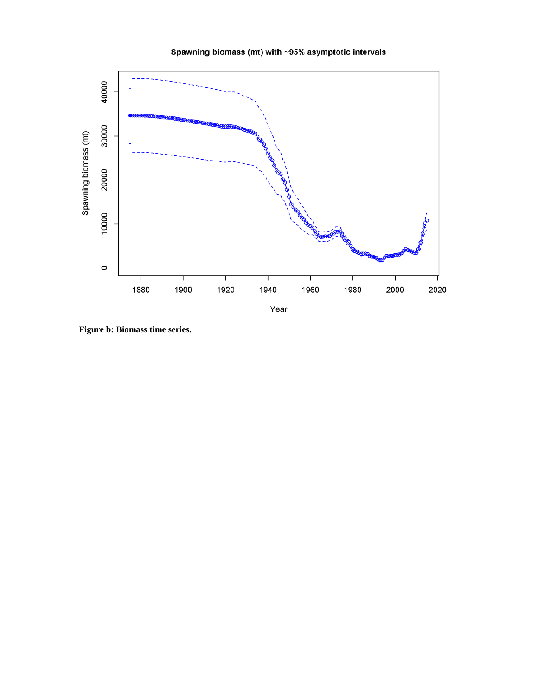



**Figure b: Biomass time series.**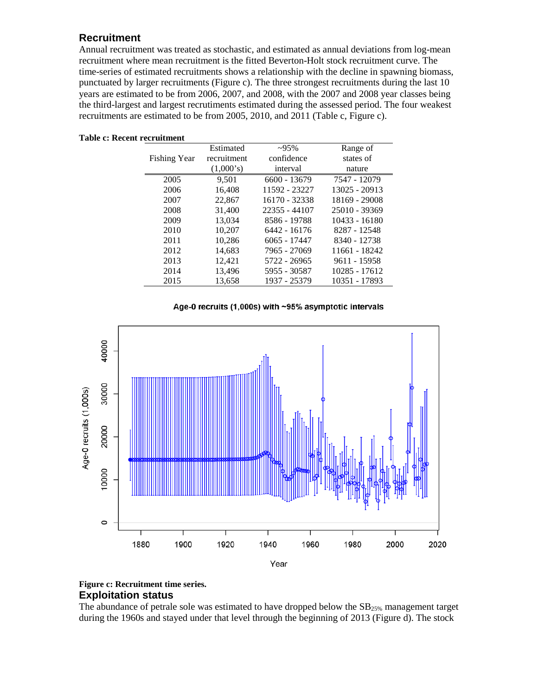# <span id="page-8-0"></span>**Recruitment**

Annual recruitment was treated as stochastic, and estimated as annual deviations from log-mean recruitment where mean recruitment is the fitted Beverton-Holt stock recruitment curve. The time-series of estimated recruitments shows a relationship with the decline in spawning biomass, punctuated by larger recruitments (Figure c). The three strongest recruitments during the last 10 years are estimated to be from 2006, 2007, and 2008, with the 2007 and 2008 year classes being the third-largest and largest recrutiments estimated during the assessed period. The four weakest recruitments are estimated to be from 2005, 2010, and 2011 (Table c, Figure c).

| Estimated | $~295\%$       |               |
|-----------|----------------|---------------|
|           |                | Range of      |
|           | confidence     | states of     |
| (1,000's) | interval       | nature        |
| 9.501     | $6600 - 13679$ | 7547 - 12079  |
| 16.408    | 11592 - 23227  | 13025 - 20913 |
| 22,867    | 16170 - 32338  | 18169 - 29008 |
| 31,400    | 22355 - 44107  | 25010 - 39369 |
| 13,034    | 8586 - 19788   | 10433 - 16180 |
| 10.207    | 6442 - 16176   | 8287 - 12548  |
| 10.286    | $6065 - 17447$ | 8340 - 12738  |
| 14,683    | 7965 - 27069   | 11661 - 18242 |
| 12.421    | 5722 - 26965   | 9611 - 15958  |
| 13.496    | 5955 - 30587   | 10285 - 17612 |
| 13,658    | 1937 - 25379   | 10351 - 17893 |
|           | recruitment    |               |

#### **Table c: Recent recruitment**

#### Age-0 recruits (1,000s) with ~95% asymptotic intervals



#### <span id="page-8-1"></span>**Figure c: Recruitment time series. Exploitation status**

The abundance of petrale sole was estimated to have dropped below the  $SB_{25\%}$  management target during the 1960s and stayed under that level through the beginning of 2013 (Figure d). The stock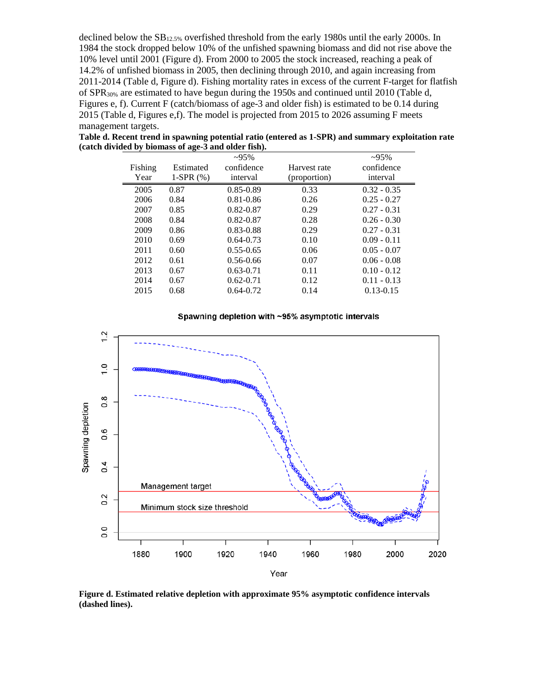declined below the  $SB<sub>12.5%</sub>$  overfished threshold from the early 1980s until the early 2000s. In 1984 the stock dropped below 10% of the unfished spawning biomass and did not rise above the 10% level until 2001 (Figure d). From 2000 to 2005 the stock increased, reaching a peak of 14.2% of unfished biomass in 2005, then declining through 2010, and again increasing from 2011-2014 (Table d, Figure d). Fishing mortality rates in excess of the current F-target for flatfish of SPR<sub>30%</sub> are estimated to have begun during the 1950s and continued until 2010 (Table d, Figures e, f). Current F (catch/biomass of age-3 and older fish) is estimated to be 0.14 during 2015 (Table d, Figures e,f). The model is projected from 2015 to 2026 assuming F meets management targets.

|         |             | $-95%$        |              | $-95%$        |
|---------|-------------|---------------|--------------|---------------|
| Fishing | Estimated   | confidence    | Harvest rate | confidence    |
| Year    | 1-SPR $(%)$ | interval      | (proportion) | interval      |
| 2005    | 0.87        | $0.85 - 0.89$ | 0.33         | $0.32 - 0.35$ |
| 2006    | 0.84        | $0.81 - 0.86$ | 0.26         | $0.25 - 0.27$ |
| 2007    | 0.85        | $0.82 - 0.87$ | 0.29         | $0.27 - 0.31$ |
| 2008    | 0.84        | $0.82 - 0.87$ | 0.28         | $0.26 - 0.30$ |
| 2009    | 0.86        | 0.83-0.88     | 0.29         | $0.27 - 0.31$ |
| 2010    | 0.69        | $0.64 - 0.73$ | 0.10         | $0.09 - 0.11$ |
| 2011    | 0.60        | $0.55 - 0.65$ | 0.06         | $0.05 - 0.07$ |
| 2012    | 0.61        | $0.56 - 0.66$ | 0.07         | $0.06 - 0.08$ |
| 2013    | 0.67        | $0.63 - 0.71$ | 0.11         | $0.10 - 0.12$ |
| 2014    | 0.67        | $0.62 - 0.71$ | 0.12         | $0.11 - 0.13$ |
| 2015    | 0.68        | $0.64 - 0.72$ | 0.14         | $0.13 - 0.15$ |

**Table d. Recent trend in spawning potential ratio (entered as 1-SPR) and summary exploitation rate (catch divided by biomass of age-3 and older fish).**

#### Spawning depletion with ~95% asymptotic intervals



**Figure d. Estimated relative depletion with approximate 95% asymptotic confidence intervals (dashed lines).**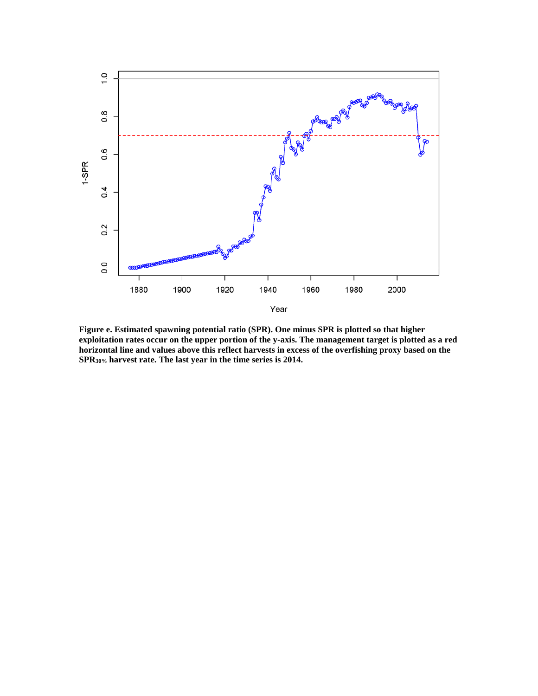

**Figure e. Estimated spawning potential ratio (SPR). One minus SPR is plotted so that higher exploitation rates occur on the upper portion of the y-axis. The management target is plotted as a red horizontal line and values above this reflect harvests in excess of the overfishing proxy based on the SPR30% harvest rate. The last year in the time series is 2014.**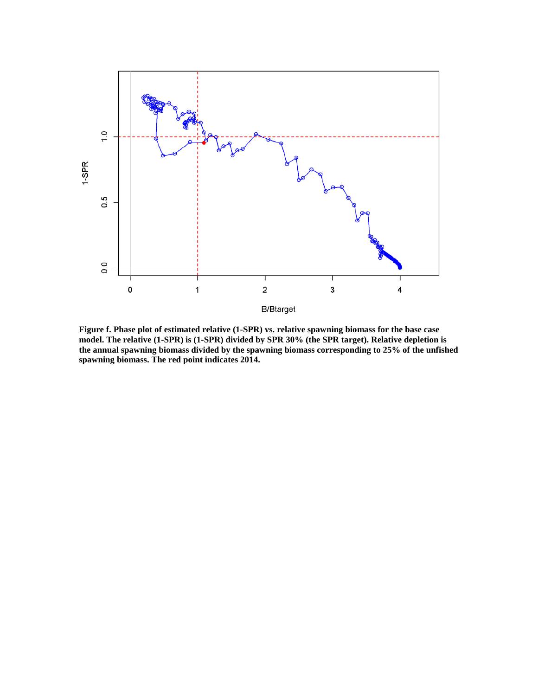

**Figure f. Phase plot of estimated relative (1-SPR) vs. relative spawning biomass for the base case model. The relative (1-SPR) is (1-SPR) divided by SPR 30% (the SPR target). Relative depletion is the annual spawning biomass divided by the spawning biomass corresponding to 25% of the unfished spawning biomass. The red point indicates 2014.**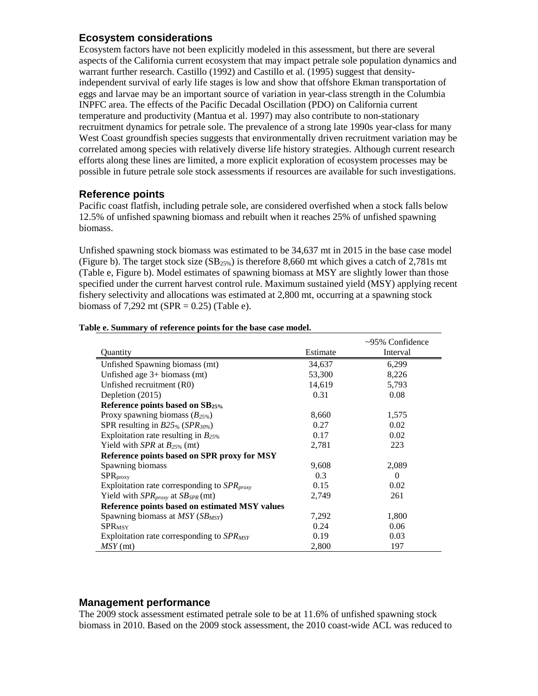# <span id="page-12-0"></span>**Ecosystem considerations**

Ecosystem factors have not been explicitly modeled in this assessment, but there are several aspects of the California current ecosystem that may impact petrale sole population dynamics and warrant further research. Castillo (1992) and Castillo et al. (1995) suggest that densityindependent survival of early life stages is low and show that offshore Ekman transportation of eggs and larvae may be an important source of variation in year-class strength in the Columbia INPFC area. The effects of the Pacific Decadal Oscillation (PDO) on California current temperature and productivity (Mantua et al. 1997) may also contribute to non-stationary recruitment dynamics for petrale sole. The prevalence of a strong late 1990s year-class for many West Coast groundfish species suggests that environmentally driven recruitment variation may be correlated among species with relatively diverse life history strategies. Although current research efforts along these lines are limited, a more explicit exploration of ecosystem processes may be possible in future petrale sole stock assessments if resources are available for such investigations.

# <span id="page-12-1"></span>**Reference points**

Pacific coast flatfish, including petrale sole, are considered overfished when a stock falls below 12.5% of unfished spawning biomass and rebuilt when it reaches 25% of unfished spawning biomass.

Unfished spawning stock biomass was estimated to be 34,637 mt in 2015 in the base case model (Figure b). The target stock size  $(SB_{25\%})$  is therefore 8,660 mt which gives a catch of 2,781s mt (Table e, Figure b). Model estimates of spawning biomass at MSY are slightly lower than those specified under the current harvest control rule. Maximum sustained yield (MSY) applying recent fishery selectivity and allocations was estimated at 2,800 mt, occurring at a spawning stock biomass of  $7.292$  mt (SPR = 0.25) (Table e).

|                                                  |          | $\sim$ 95% Confidence |
|--------------------------------------------------|----------|-----------------------|
| Quantity                                         | Estimate | Interval              |
| Unfished Spawning biomass (mt)                   | 34,637   | 6,299                 |
| Unfished age $3+$ biomass (mt)                   | 53,300   | 8,226                 |
| Unfished recruitment (R0)                        | 14,619   | 5,793                 |
| Depletion (2015)                                 | 0.31     | 0.08                  |
| Reference points based on SB25%                  |          |                       |
| Proxy spawning biomass $(B_{25\%})$              | 8,660    | 1,575                 |
| SPR resulting in $B25\%$ (SPR <sub>30%</sub> )   | 0.27     | 0.02                  |
| Exploitation rate resulting in $B_{25\%}$        | 0.17     | 0.02                  |
| Yield with SPR at $B_{25\%}$ (mt)                | 2,781    | 223                   |
| Reference points based on SPR proxy for MSY      |          |                       |
| Spawning biomass                                 | 9,608    | 2,089                 |
| SPR <sub>proxy</sub>                             | 0.3      | $\Omega$              |
| Exploitation rate corresponding to $SPR_{proxy}$ | 0.15     | 0.02                  |
| Yield with $SPR_{proxy}$ at $SB_{SPR}$ (mt)      | 2,749    | 261                   |
| Reference points based on estimated MSY values   |          |                       |
| Spawning biomass at $MSY(SB_{MSY})$              | 7,292    | 1,800                 |
| $SPR_{MSY}$                                      | 0.24     | 0.06                  |
| Exploitation rate corresponding to $SPR_{MSY}$   | 0.19     | 0.03                  |
| $MSY$ (mt)                                       | 2,800    | 197                   |

#### **Table e. Summary of reference points for the base case model.**

### <span id="page-12-2"></span>**Management performance**

The 2009 stock assessment estimated petrale sole to be at 11.6% of unfished spawning stock biomass in 2010. Based on the 2009 stock assessment, the 2010 coast-wide ACL was reduced to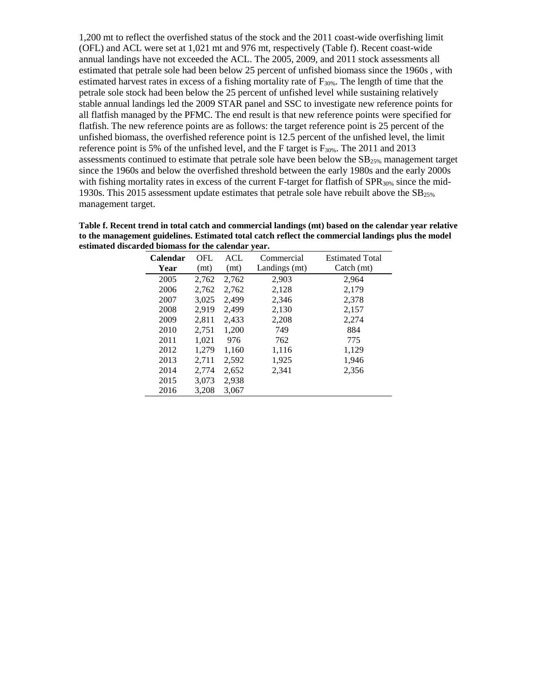1,200 mt to reflect the overfished status of the stock and the 2011 coast-wide overfishing limit (OFL) and ACL were set at 1,021 mt and 976 mt, respectively (Table f). Recent coast-wide annual landings have not exceeded the ACL. The 2005, 2009, and 2011 stock assessments all estimated that petrale sole had been below 25 percent of unfished biomass since the 1960s , with estimated harvest rates in excess of a fishing mortality rate of  $F_{30\%}$ . The length of time that the petrale sole stock had been below the 25 percent of unfished level while sustaining relatively stable annual landings led the 2009 STAR panel and SSC to investigate new reference points for all flatfish managed by the PFMC. The end result is that new reference points were specified for flatfish. The new reference points are as follows: the target reference point is 25 percent of the unfished biomass, the overfished reference point is 12.5 percent of the unfished level, the limit reference point is 5% of the unfished level, and the F target is  $F_{30\%}$ . The 2011 and 2013 assessments continued to estimate that petrale sole have been below the  $SB<sub>25%</sub>$  management target since the 1960s and below the overfished threshold between the early 1980s and the early 2000s with fishing mortality rates in excess of the current F-target for flatfish of  $SPR<sub>30%</sub>$  since the mid-1930s. This 2015 assessment update estimates that petrale sole have rebuilt above the  $SB<sub>25%</sub>$ </sub> management target.

| Table f. Recent trend in total catch and commercial landings (mt) based on the calendar year relative |
|-------------------------------------------------------------------------------------------------------|
| to the management guidelines. Estimated total catch reflect the commercial landings plus the model    |
| estimated discarded biomass for the calendar vear.                                                    |

| <b>Calendar</b> | OFL   | ACL   | Commercial    | <b>Estimated Total</b>    |
|-----------------|-------|-------|---------------|---------------------------|
| Year            | (mt)  | (mt)  | Landings (mt) | $\text{Catch}(\text{mt})$ |
| 2005            | 2,762 | 2,762 | 2,903         | 2,964                     |
| 2006            | 2,762 | 2,762 | 2,128         | 2,179                     |
| 2007            | 3,025 | 2,499 | 2,346         | 2,378                     |
| 2008            | 2.919 | 2,499 | 2,130         | 2,157                     |
| 2009            | 2,811 | 2,433 | 2,208         | 2,274                     |
| 2010            | 2,751 | 1,200 | 749           | 884                       |
| 2011            | 1,021 | 976   | 762           | 775                       |
| 2012            | 1,279 | 1,160 | 1,116         | 1,129                     |
| 2013            | 2,711 | 2,592 | 1,925         | 1,946                     |
| 2014            | 2,774 | 2,652 | 2,341         | 2,356                     |
| 2015            | 3,073 | 2,938 |               |                           |
| 2016            | 3,208 | 3,067 |               |                           |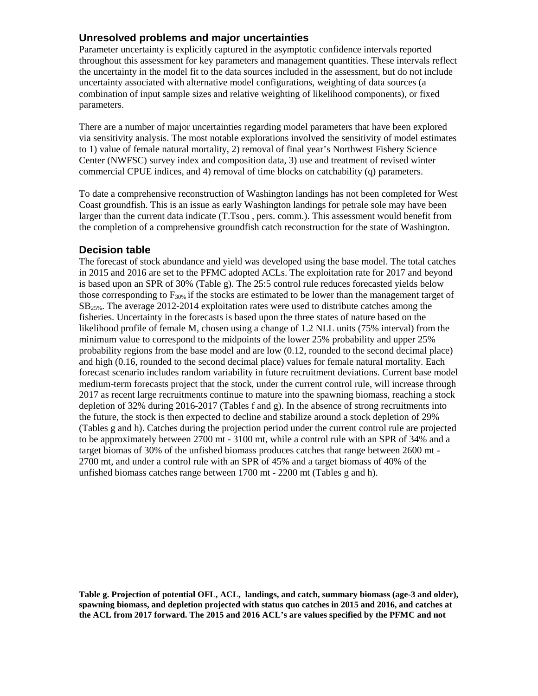# <span id="page-14-0"></span>**Unresolved problems and major uncertainties**

Parameter uncertainty is explicitly captured in the asymptotic confidence intervals reported throughout this assessment for key parameters and management quantities. These intervals reflect the uncertainty in the model fit to the data sources included in the assessment, but do not include uncertainty associated with alternative model configurations, weighting of data sources (a combination of input sample sizes and relative weighting of likelihood components), or fixed parameters.

There are a number of major uncertainties regarding model parameters that have been explored via sensitivity analysis. The most notable explorations involved the sensitivity of model estimates to 1) value of female natural mortality, 2) removal of final year's Northwest Fishery Science Center (NWFSC) survey index and composition data, 3) use and treatment of revised winter commercial CPUE indices, and 4) removal of time blocks on catchability (q) parameters.

To date a comprehensive reconstruction of Washington landings has not been completed for West Coast groundfish. This is an issue as early Washington landings for petrale sole may have been larger than the current data indicate (T.Tsou , pers. comm.). This assessment would benefit from the completion of a comprehensive groundfish catch reconstruction for the state of Washington.

### <span id="page-14-1"></span>**Decision table**

The forecast of stock abundance and yield was developed using the base model. The total catches in 2015 and 2016 are set to the PFMC adopted ACLs. The exploitation rate for 2017 and beyond is based upon an SPR of 30% (Table g). The 25:5 control rule reduces forecasted yields below those corresponding to  $F_{30\%}$  if the stocks are estimated to be lower than the management target of  $SB<sub>25%</sub>$ . The average 2012-2014 exploitation rates were used to distribute catches among the fisheries. Uncertainty in the forecasts is based upon the three states of nature based on the likelihood profile of female M, chosen using a change of 1.2 NLL units (75% interval) from the minimum value to correspond to the midpoints of the lower 25% probability and upper 25% probability regions from the base model and are low (0.12, rounded to the second decimal place) and high (0.16, rounded to the second decimal place) values for female natural mortality. Each forecast scenario includes random variability in future recruitment deviations. Current base model medium-term forecasts project that the stock, under the current control rule, will increase through 2017 as recent large recruitments continue to mature into the spawning biomass, reaching a stock depletion of 32% during 2016-2017 (Tables f and g). In the absence of strong recruitments into the future, the stock is then expected to decline and stabilize around a stock depletion of 29% (Tables g and h). Catches during the projection period under the current control rule are projected to be approximately between 2700 mt - 3100 mt, while a control rule with an SPR of 34% and a target biomas of 30% of the unfished biomass produces catches that range between 2600 mt - 2700 mt, and under a control rule with an SPR of 45% and a target biomass of 40% of the unfished biomass catches range between 1700 mt - 2200 mt (Tables g and h).

**Table g. Projection of potential OFL, ACL, landings, and catch, summary biomass (age-3 and older), spawning biomass, and depletion projected with status quo catches in 2015 and 2016, and catches at the ACL from 2017 forward. The 2015 and 2016 ACL's are values specified by the PFMC and not**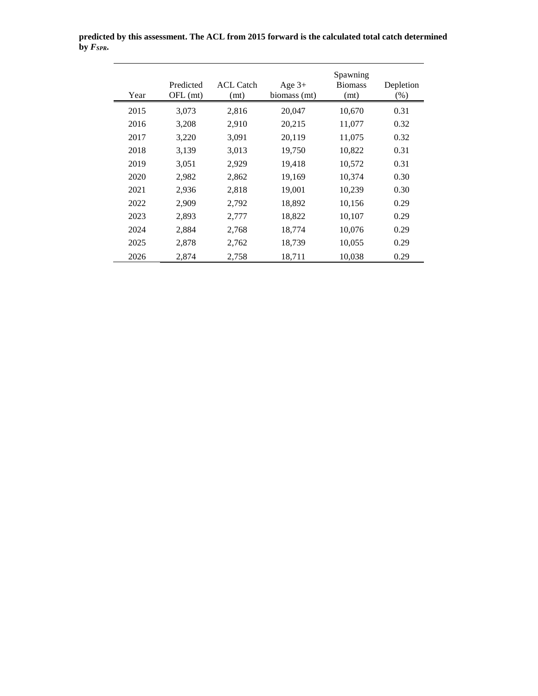| Year | Predicted<br>OFL (mt) | <b>ACL Catch</b><br>(mt) | Age $3+$<br>biomass (mt) | Spawning<br><b>Biomass</b><br>(mt) | Depletion<br>$(\%)$ |
|------|-----------------------|--------------------------|--------------------------|------------------------------------|---------------------|
| 2015 | 3,073                 | 2,816                    | 20,047                   | 10,670                             | 0.31                |
| 2016 | 3,208                 | 2,910                    | 20,215                   | 11,077                             | 0.32                |
| 2017 | 3,220                 | 3,091                    | 20,119                   | 11,075                             | 0.32                |
| 2018 | 3,139                 | 3,013                    | 19,750                   | 10,822                             | 0.31                |
| 2019 | 3,051                 | 2,929                    | 19,418                   | 10,572                             | 0.31                |
| 2020 | 2,982                 | 2,862                    | 19,169                   | 10,374                             | 0.30                |
| 2021 | 2,936                 | 2,818                    | 19,001                   | 10,239                             | 0.30                |
| 2022 | 2,909                 | 2,792                    | 18,892                   | 10,156                             | 0.29                |
| 2023 | 2,893                 | 2,777                    | 18,822                   | 10,107                             | 0.29                |
| 2024 | 2,884                 | 2,768                    | 18,774                   | 10,076                             | 0.29                |
| 2025 | 2,878                 | 2,762                    | 18,739                   | 10,055                             | 0.29                |
| 2026 | 2,874                 | 2,758                    | 18,711                   | 10,038                             | 0.29                |

**predicted by this assessment. The ACL from 2015 forward is the calculated total catch determined**   $\bar{b}$ y  $F_{SPR}$ .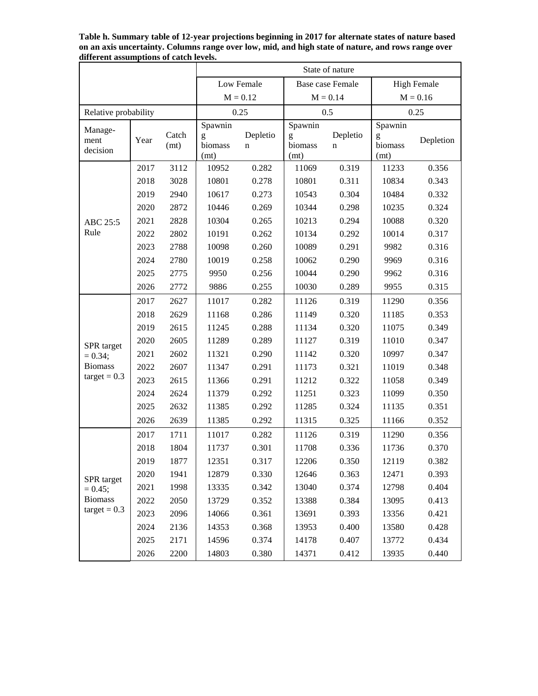|                      |      |               | State of nature      |               |                         |               |                      |           |  |
|----------------------|------|---------------|----------------------|---------------|-------------------------|---------------|----------------------|-----------|--|
|                      |      |               | Low Female           |               | <b>Base case Female</b> |               | <b>High Female</b>   |           |  |
|                      |      | $M = 0.12$    |                      | $M = 0.14$    |                         | $M = 0.16$    |                      |           |  |
| Relative probability |      |               |                      | 0.25          |                         | 0.5           |                      | 0.25      |  |
| Manage-              |      |               | Spawnin              |               | Spawnin                 |               | Spawnin              |           |  |
| ment<br>decision     | Year | Catch<br>(mt) | g<br>biomass<br>(mt) | Depletio<br>n | g<br>biomass<br>(mt)    | Depletio<br>n | g<br>biomass<br>(mt) | Depletion |  |
|                      | 2017 | 3112          | 10952                | 0.282         | 11069                   | 0.319         | 11233                | 0.356     |  |
|                      | 2018 | 3028          | 10801                | 0.278         | 10801                   | 0.311         | 10834                | 0.343     |  |
|                      | 2019 | 2940          | 10617                | 0.273         | 10543                   | 0.304         | 10484                | 0.332     |  |
|                      | 2020 | 2872          | 10446                | 0.269         | 10344                   | 0.298         | 10235                | 0.324     |  |
| ABC 25:5             | 2021 | 2828          | 10304                | 0.265         | 10213                   | 0.294         | 10088                | 0.320     |  |
| Rule                 | 2022 | 2802          | 10191                | 0.262         | 10134                   | 0.292         | 10014                | 0.317     |  |
|                      | 2023 | 2788          | 10098                | 0.260         | 10089                   | 0.291         | 9982                 | 0.316     |  |
|                      | 2024 | 2780          | 10019                | 0.258         | 10062                   | 0.290         | 9969                 | 0.316     |  |
|                      | 2025 | 2775          | 9950                 | 0.256         | 10044                   | 0.290         | 9962                 | 0.316     |  |
|                      | 2026 | 2772          | 9886                 | 0.255         | 10030                   | 0.289         | 9955                 | 0.315     |  |
|                      | 2017 | 2627          | 11017                | 0.282         | 11126                   | 0.319         | 11290                | 0.356     |  |
|                      | 2018 | 2629          | 11168                | 0.286         | 11149                   | 0.320         | 11185                | 0.353     |  |
|                      | 2019 | 2615          | 11245                | 0.288         | 11134                   | 0.320         | 11075                | 0.349     |  |
| SPR target           | 2020 | 2605          | 11289                | 0.289         | 11127                   | 0.319         | 11010                | 0.347     |  |
| $= 0.34;$            | 2021 | 2602          | 11321                | 0.290         | 11142                   | 0.320         | 10997                | 0.347     |  |
| <b>Biomass</b>       | 2022 | 2607          | 11347                | 0.291         | 11173                   | 0.321         | 11019                | 0.348     |  |
| $target = 0.3$       | 2023 | 2615          | 11366                | 0.291         | 11212                   | 0.322         | 11058                | 0.349     |  |
|                      | 2024 | 2624          | 11379                | 0.292         | 11251                   | 0.323         | 11099                | 0.350     |  |
|                      | 2025 | 2632          | 11385                | 0.292         | 11285                   | 0.324         | 11135                | 0.351     |  |
|                      | 2026 | 2639          | 11385                | 0.292         | 11315                   | 0.325         | 11166                | 0.352     |  |
|                      | 2017 | 1711          | 11017                | 0.282         | 11126                   | 0.319         | 11290                | 0.356     |  |
|                      | 2018 | 1804          | 11737                | 0.301         | 11708                   | 0.336         | 11736                | 0.370     |  |
|                      | 2019 | 1877          | 12351                | 0.317         | 12206                   | 0.350         | 12119                | 0.382     |  |
| SPR target           | 2020 | 1941          | 12879                | 0.330         | 12646                   | 0.363         | 12471                | 0.393     |  |
| $= 0.45$ ;           | 2021 | 1998          | 13335                | 0.342         | 13040                   | 0.374         | 12798                | 0.404     |  |
| <b>Biomass</b>       | 2022 | 2050          | 13729                | 0.352         | 13388                   | 0.384         | 13095                | 0.413     |  |
| $target = 0.3$       | 2023 | 2096          | 14066                | 0.361         | 13691                   | 0.393         | 13356                | 0.421     |  |
|                      | 2024 | 2136          | 14353                | 0.368         | 13953                   | 0.400         | 13580                | 0.428     |  |
|                      | 2025 | 2171          | 14596                | 0.374         | 14178                   | 0.407         | 13772                | 0.434     |  |
|                      | 2026 | 2200          | 14803                | 0.380         | 14371                   | 0.412         | 13935                | 0.440     |  |

**Table h. Summary table of 12-year projections beginning in 2017 for alternate states of nature based on an axis uncertainty. Columns range over low, mid, and high state of nature, and rows range over different assumptions of catch levels.**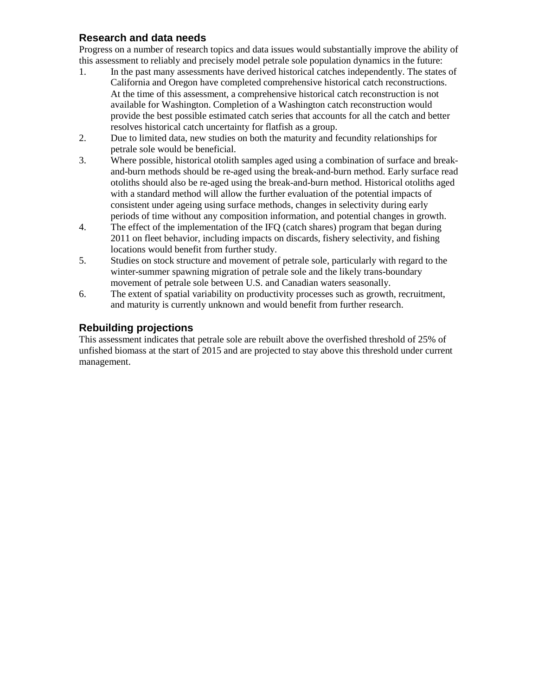# <span id="page-17-0"></span>**Research and data needs**

Progress on a number of research topics and data issues would substantially improve the ability of this assessment to reliably and precisely model petrale sole population dynamics in the future:

- 1. In the past many assessments have derived historical catches independently. The states of California and Oregon have completed comprehensive historical catch reconstructions. At the time of this assessment, a comprehensive historical catch reconstruction is not available for Washington. Completion of a Washington catch reconstruction would provide the best possible estimated catch series that accounts for all the catch and better resolves historical catch uncertainty for flatfish as a group.
- 2. Due to limited data, new studies on both the maturity and fecundity relationships for petrale sole would be beneficial.
- 3. Where possible, historical otolith samples aged using a combination of surface and breakand-burn methods should be re-aged using the break-and-burn method. Early surface read otoliths should also be re-aged using the break-and-burn method. Historical otoliths aged with a standard method will allow the further evaluation of the potential impacts of consistent under ageing using surface methods, changes in selectivity during early periods of time without any composition information, and potential changes in growth.
- 4. The effect of the implementation of the IFQ (catch shares) program that began during 2011 on fleet behavior, including impacts on discards, fishery selectivity, and fishing locations would benefit from further study.
- 5. Studies on stock structure and movement of petrale sole, particularly with regard to the winter-summer spawning migration of petrale sole and the likely trans-boundary movement of petrale sole between U.S. and Canadian waters seasonally.
- 6. The extent of spatial variability on productivity processes such as growth, recruitment, and maturity is currently unknown and would benefit from further research.

# <span id="page-17-1"></span>**Rebuilding projections**

This assessment indicates that petrale sole are rebuilt above the overfished threshold of 25% of unfished biomass at the start of 2015 and are projected to stay above this threshold under current management.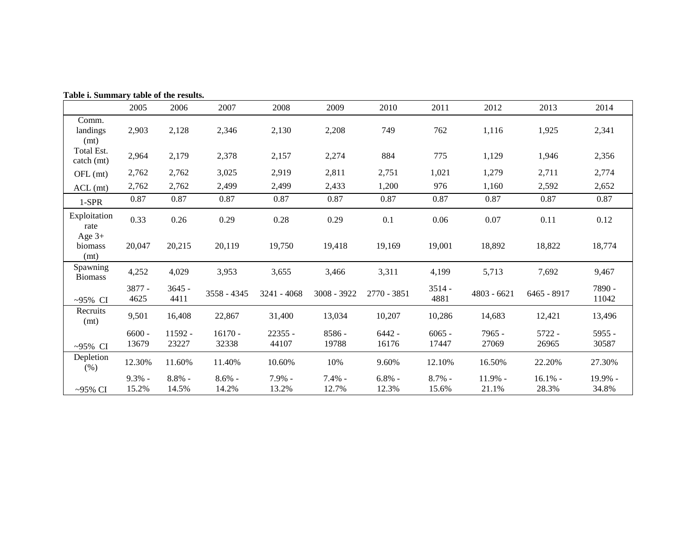| Table i. Summary table of the results. |                    |                    |                    |                    |                   |                    |                    |                    |                    |                  |
|----------------------------------------|--------------------|--------------------|--------------------|--------------------|-------------------|--------------------|--------------------|--------------------|--------------------|------------------|
|                                        | 2005               | 2006               | 2007               | 2008               | 2009              | 2010               | 2011               | 2012               | 2013               | 2014             |
| Comm.<br>landings<br>(mt)              | 2,903              | 2,128              | 2,346              | 2,130              | 2,208             | 749                | 762                | 1,116              | 1,925              | 2,341            |
| Total Est.<br>catch (mt)               | 2,964              | 2,179              | 2,378              | 2,157              | 2,274             | 884                | 775                | 1,129              | 1,946              | 2,356            |
| OFL (mt)                               | 2,762              | 2,762              | 3,025              | 2,919              | 2,811             | 2,751              | 1,021              | 1,279              | 2,711              | 2,774            |
| $ACL$ (mt)                             | 2,762              | 2,762              | 2,499              | 2,499              | 2,433             | 1,200              | 976                | 1,160              | 2,592              | 2,652            |
| 1-SPR                                  | 0.87               | 0.87               | 0.87               | 0.87               | 0.87              | 0.87               | 0.87               | 0.87               | 0.87               | 0.87             |
| Exploitation<br>rate                   | 0.33               | 0.26               | 0.29               | $0.28\,$           | 0.29              | 0.1                | 0.06               | $0.07\,$           | 0.11               | 0.12             |
| Age $3+$<br>biomass<br>(mt)            | 20,047             | 20,215             | 20,119             | 19,750             | 19,418            | 19,169             | 19,001             | 18,892             | 18,822             | 18,774           |
| Spawning<br><b>Biomass</b>             | 4,252              | 4,029              | 3,953              | 3,655              | 3,466             | 3,311              | 4,199              | 5,713              | 7,692              | 9,467            |
| ~95% CI                                | 3877 -<br>4625     | $3645 -$<br>4411   | 3558 - 4345        | $3241 - 4068$      | 3008 - 3922       | 2770 - 3851        | $3514 -$<br>4881   | $4803 - 6621$      | 6465 - 8917        | 7890 -<br>11042  |
| Recruits<br>(mt)                       | 9,501              | 16,408             | 22,867             | 31,400             | 13,034            | 10,207             | 10,286             | 14,683             | 12,421             | 13,496           |
| ~95% CI                                | $6600 -$<br>13679  | 11592 -<br>23227   | $16170 -$<br>32338 | $22355 -$<br>44107 | 8586 -<br>19788   | $6442 -$<br>16176  | $6065 -$<br>17447  | 7965 -<br>27069    | $5722 -$<br>26965  | 5955 -<br>30587  |
| Depletion<br>(% )                      | 12.30%             | 11.60%             | 11.40%             | 10.60%             | 10%               | 9.60%              | 12.10%             | 16.50%             | 22.20%             | 27.30%           |
| $-95\%$ CI                             | $9.3\%$ -<br>15.2% | $8.8\%$ -<br>14.5% | $8.6\%$ -<br>14.2% | 7.9% -<br>13.2%    | $7.4%$ -<br>12.7% | $6.8\%$ -<br>12.3% | $8.7\%$ -<br>15.6% | $11.9%$ -<br>21.1% | $16.1%$ -<br>28.3% | 19.9% -<br>34.8% |